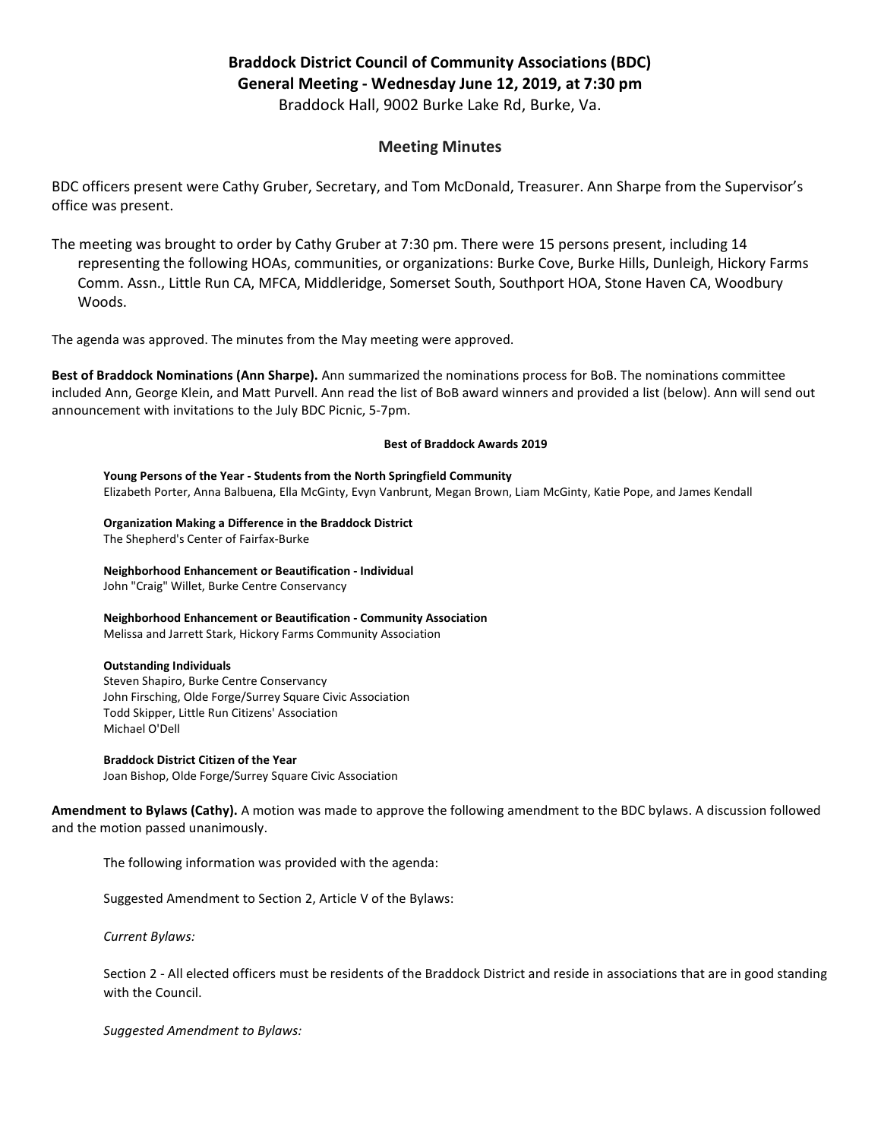# Braddock District Council of Community Associations (BDC) General Meeting - Wednesday June 12, 2019, at 7:30 pm Braddock Hall, 9002 Burke Lake Rd, Burke, Va.

## Meeting Minutes

BDC officers present were Cathy Gruber, Secretary, and Tom McDonald, Treasurer. Ann Sharpe from the Supervisor's office was present.

The meeting was brought to order by Cathy Gruber at 7:30 pm. There were 15 persons present, including 14 representing the following HOAs, communities, or organizations: Burke Cove, Burke Hills, Dunleigh, Hickory Farms Comm. Assn., Little Run CA, MFCA, Middleridge, Somerset South, Southport HOA, Stone Haven CA, Woodbury Woods.

The agenda was approved. The minutes from the May meeting were approved.

Best of Braddock Nominations (Ann Sharpe). Ann summarized the nominations process for BoB. The nominations committee included Ann, George Klein, and Matt Purvell. Ann read the list of BoB award winners and provided a list (below). Ann will send out announcement with invitations to the July BDC Picnic, 5-7pm.

#### Best of Braddock Awards 2019

Young Persons of the Year - Students from the North Springfield Community Elizabeth Porter, Anna Balbuena, Ella McGinty, Evyn Vanbrunt, Megan Brown, Liam McGinty, Katie Pope, and James Kendall

Organization Making a Difference in the Braddock District The Shepherd's Center of Fairfax-Burke

Neighborhood Enhancement or Beautification - Individual John "Craig" Willet, Burke Centre Conservancy

Neighborhood Enhancement or Beautification - Community Association Melissa and Jarrett Stark, Hickory Farms Community Association

#### Outstanding Individuals

Steven Shapiro, Burke Centre Conservancy John Firsching, Olde Forge/Surrey Square Civic Association Todd Skipper, Little Run Citizens' Association Michael O'Dell

### Braddock District Citizen of the Year

Joan Bishop, Olde Forge/Surrey Square Civic Association

Amendment to Bylaws (Cathy). A motion was made to approve the following amendment to the BDC bylaws. A discussion followed and the motion passed unanimously.

The following information was provided with the agenda:

Suggested Amendment to Section 2, Article V of the Bylaws:

Current Bylaws:

Section 2 - All elected officers must be residents of the Braddock District and reside in associations that are in good standing with the Council.

Suggested Amendment to Bylaws: